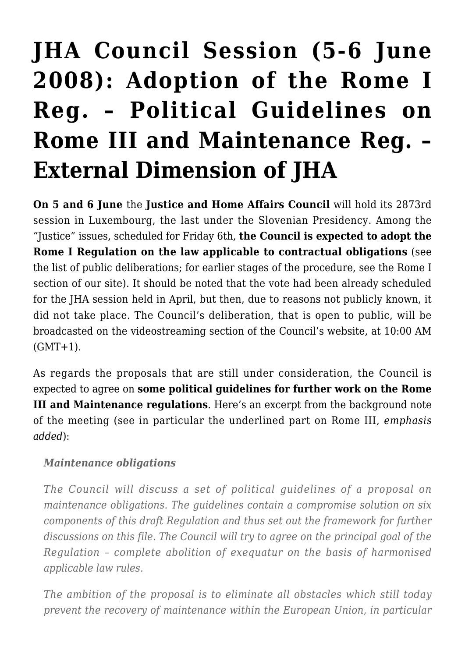## **[JHA Council Session \(5-6 June](https://conflictoflaws.net/2008/jha-council-session-5-6-june-2008-adoption-of-the-rome-i-reg-political-guidelines-on-rome-iii-and-maintenance-reg-external-dimension-of-jha/) [2008\): Adoption of the Rome I](https://conflictoflaws.net/2008/jha-council-session-5-6-june-2008-adoption-of-the-rome-i-reg-political-guidelines-on-rome-iii-and-maintenance-reg-external-dimension-of-jha/) [Reg. – Political Guidelines on](https://conflictoflaws.net/2008/jha-council-session-5-6-june-2008-adoption-of-the-rome-i-reg-political-guidelines-on-rome-iii-and-maintenance-reg-external-dimension-of-jha/) [Rome III and Maintenance Reg. –](https://conflictoflaws.net/2008/jha-council-session-5-6-june-2008-adoption-of-the-rome-i-reg-political-guidelines-on-rome-iii-and-maintenance-reg-external-dimension-of-jha/) [External Dimension of JHA](https://conflictoflaws.net/2008/jha-council-session-5-6-june-2008-adoption-of-the-rome-i-reg-political-guidelines-on-rome-iii-and-maintenance-reg-external-dimension-of-jha/)**

**On 5 and 6 June** the **[Justice and Home Affairs Council](http://www.eu2008.si/en/News_and_Documents/Agendas/June/0506_JHA.pdf)** will hold its 2873rd session in Luxembourg, the last under the Slovenian Presidency. Among the "Justice" issues, scheduled for Friday 6th, **the Council is expected to adopt the Rome I Regulation on the law applicable to contractual obligations** (see the [list of public deliberations](http://www.consilium.europa.eu/ueDocs/cms_Data/docs/pressData/en/jha/100914.pdf); for earlier stages of the procedure, see the [Rome I](https://conflictoflaws.de/?cat=10) [section](https://conflictoflaws.de/?cat=10) of our site). It should be noted that the vote had been already scheduled for the JHA session held in April, but then, due to reasons not publicly known, it did not take place. The Council's deliberation, that is open to public, will be broadcasted on the [videostreaming section](http://www.consilium.europa.eu/cms3_fo/showPage.asp?id=1102&mode=g&lang=en) of the Council's website, at 10:00 AM  $(GMT+1)$ .

As regards the proposals that are still under consideration, the Council is expected to agree on **some political guidelines for further work on the Rome III and Maintenance regulations**. Here's an excerpt from the [background note](http://www.eu2008.si/en/News_and_Documents/Background_Information/June/0506_JHA.pdf) of the meeting (see in particular the underlined part on Rome III, *emphasis added*):

## *Maintenance obligations*

*The Council will discuss a set of political guidelines of a proposal on maintenance obligations. The guidelines contain a compromise solution on six components of this draft Regulation and thus set out the framework for further discussions on this file. The Council will try to agree on the principal goal of the Regulation – complete abolition of exequatur on the basis of harmonised applicable law rules.*

*The ambition of the proposal is to eliminate all obstacles which still today prevent the recovery of maintenance within the European Union, in particular*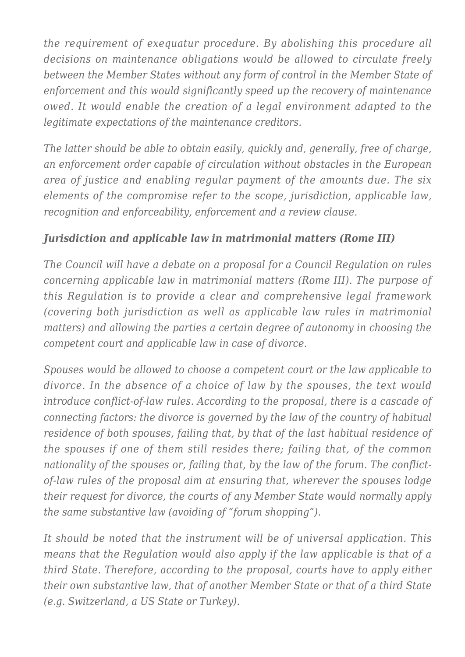*the requirement of exequatur procedure. By abolishing this procedure all decisions on maintenance obligations would be allowed to circulate freely between the Member States without any form of control in the Member State of enforcement and this would significantly speed up the recovery of maintenance owed. It would enable the creation of a legal environment adapted to the legitimate expectations of the maintenance creditors.*

*The latter should be able to obtain easily, quickly and, generally, free of charge, an enforcement order capable of circulation without obstacles in the European area of justice and enabling regular payment of the amounts due. The six elements of the compromise refer to the scope, jurisdiction, applicable law, recognition and enforceability, enforcement and a review clause.*

## *Jurisdiction and applicable law in matrimonial matters (Rome III)*

*The Council will have a debate on a proposal for a Council Regulation on rules concerning applicable law in matrimonial matters (Rome III). The purpose of this Regulation is to provide a clear and comprehensive legal framework (covering both jurisdiction as well as applicable law rules in matrimonial matters) and allowing the parties a certain degree of autonomy in choosing the competent court and applicable law in case of divorce.*

*Spouses would be allowed to choose a competent court or the law applicable to divorce. In the absence of a choice of law by the spouses, the text would introduce conflict-of-law rules. According to the proposal, there is a cascade of connecting factors: the divorce is governed by the law of the country of habitual residence of both spouses, failing that, by that of the last habitual residence of the spouses if one of them still resides there; failing that, of the common nationality of the spouses or, failing that, by the law of the forum. The conflictof-law rules of the proposal aim at ensuring that, wherever the spouses lodge their request for divorce, the courts of any Member State would normally apply the same substantive law (avoiding of "forum shopping").*

*It should be noted that the instrument will be of universal application. This means that the Regulation would also apply if the law applicable is that of a third State. Therefore, according to the proposal, courts have to apply either their own substantive law, that of another Member State or that of a third State (e.g. Switzerland, a US State or Turkey).*